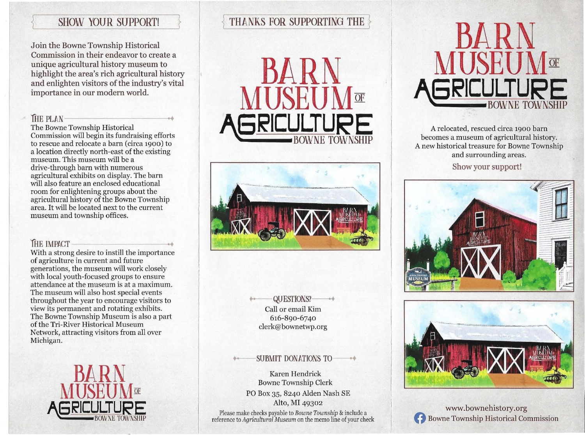# SHOW YOUR SUPPORT!

Join the Bowne Township Historical Commission in their endeavor to create a unique agricultural history museum to highlight the area's rich agricultural history and enlighten visitors of the industry's vital importance in our modern world.

11 THE PLAN<br>11 The Bowne Township Historical<br>11 The Bowne Township Historical Commission will begin its fundraising efforts to rescue and relocate a barn (circa 1900) to a location directly north-east of the existing museum. This museum will be a drive-through barn with numerous agricultural exhibits on display. The barn will also feature an enclosed educational room for enlightening groups about the agricultural history of the Bowne Township area. It will be located next to the current museum and township offices.

### **THE IMPACT**

With a strong desire to instill the importance of agriculture in current and future generations, the museum will work closely with local youth-focused groups to ensure attendance at the museum is at a maximum. The museum will also host special events throughout the year to encourage visitors to view its permanent and rotating exhibits. The Bowne Township Museum is also a part of the Tri-River Historical Museum Network, attracting visitors from all over Michigan.



# THANKS FOR SUPPORTING THE

**BARN MUSEUM**<sub>T</sub> BOWNE TOWNSHIP



**QUESTIONS?** Call or email Kim 616-890-6740 clerk@bownetwp.org

#### -SUBMIT DONATIONS TO

Karen Hendrick Bowne Township Clerk PO Box 35, 8240 Alden Nash SE Alto, MI 49302

**Please make checks payable to** *Bowne Township* **& include** a **reference to** *Agricultural Museum* **on the memo line of your check** 



A relocated, rescued circa 1900 barn becomes a museum of agricultural history. A new historical treasure for Bowne Township and surrounding areas.

Show your support!





www.bownehistory.org<br>Bowne Township Historical Commission